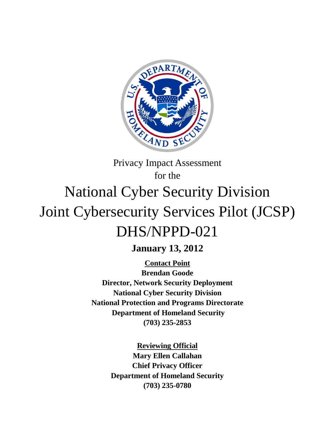

# Privacy Impact Assessment for the National Cyber Security Division Joint Cybersecurity Services Pilot (JCSP) DHS/NPPD-021

**January 13, 2012**

**Contact Point Director, Network Security Deployment Brendan Goode National Cyber Security Division National Protection and Programs Directorate Department of Homeland Security (703) 235-2853**

> **Reviewing Official Mary Ellen Callahan Chief Privacy Officer Department of Homeland Security (703) 235-0780**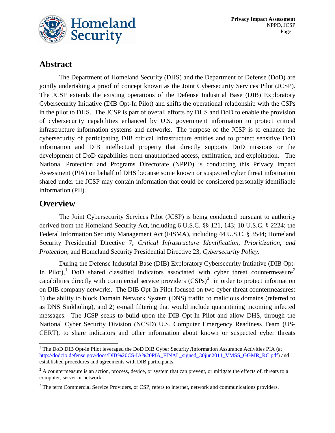

## **Abstract**

The Department of Homeland Security (DHS) and the Department of Defense (DoD) are jointly undertaking a proof of concept known as the Joint Cybersecurity Services Pilot (JCSP). The JCSP extends the existing operations of the Defense Industrial Base (DIB) Exploratory Cybersecurity Initiative (DIB Opt-In Pilot) and shifts the operational relationship with the CSPs in the pilot to DHS. The JCSP is part of overall efforts by DHS and DoD to enable the provision of cybersecurity capabilities enhanced by U.S. government information to protect critical infrastructure information systems and networks. The purpose of the JCSP is to enhance the cybersecurity of participating DIB critical infrastructure entities and to protect sensitive DoD information and DIB intellectual property that directly supports DoD missions or the development of DoD capabilities from unauthorized access, exfiltration, and exploitation. The National Protection and Programs Directorate (NPPD) is conducting this Privacy Impact Assessment (PIA) on behalf of DHS because some known or suspected cyber threat information shared under the JCSP may contain information that could be considered personally identifiable information (PII).

## **Overview**

The Joint Cybersecurity Services Pilot (JCSP) is being conducted pursuant to authority derived from the Homeland Security Act, including 6 U.S.C. §§ 121, 143; 10 U.S.C. § 2224; the Federal Information Security Management Act (FISMA), including 44 U.S.C. § 3544; Homeland Security Presidential Directive 7, *Critical Infrastructure Identification, Prioritization, and Protection*; and Homeland Security Presidential Directive 23, *Cybersecurity Policy*.

During the Defense Industrial Base (DIB) Exploratory Cybersecurity Initiative (DIB Opt-In Pilot),<sup>[1](#page-1-0)</sup> DoD shared classified indicators associated with cyber threat countermeasure<sup>[2](#page-1-1)</sup> capabilities directly with commercial service providers  $(CSPs)^3$  $(CSPs)^3$  in order to protect information on DIB company networks. The DIB Opt-In Pilot focused on two cyber threat countermeasures: 1) the ability to block Domain Network System (DNS) traffic to malicious domains (referred to as DNS Sinkholing), and 2) e-mail filtering that would include quarantining incoming infected messages. The JCSP seeks to build upon the DIB Opt-In Pilot and allow DHS, through the National Cyber Security Division (NCSD) U.S. Computer Emergency Readiness Team (US-CERT), to share indicators and other information about known or suspected cyber threats

<span id="page-1-0"></span><sup>&</sup>lt;sup>1</sup> The DoD DIB Opt-in Pilot leveraged the DoD DIB Cyber Security /Information Assurance Activities PIA (at [http://dodcio.defense.gov/docs/DIB%20CS-IA%20PIA\\_FINAL\\_signed\\_30jun2011\\_VMSS\\_GGMR\\_RC.pdf\)](http://dodcio.defense.gov/docs/DIB%20CS-IA%20PIA_FINAL_signed_30jun2011_VMSS_GGMR_RC.pdf) and established procedures and agreements with DIB participants.

<span id="page-1-1"></span> $2$  A countermeasure is an action, process, device, or system that can prevent, or mitigate the effects of, threats to a computer, server or network.

<span id="page-1-2"></span><sup>&</sup>lt;sup>3</sup> The term Commercial Service Providers, or CSP, refers to internet, network and communications providers.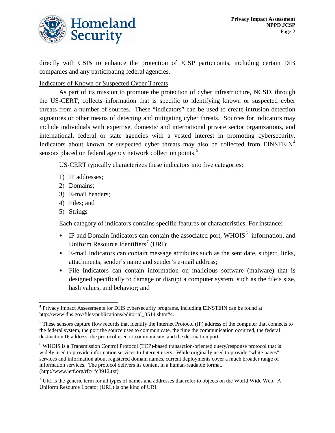

directly with CSPs to enhance the protection of JCSP participants, including certain DIB companies and any participating federal agencies.

Indicators of Known or Suspected Cyber Threats

As part of its mission to promote the protection of cyber infrastructure, NCSD, through the US-CERT, collects information that is specific to identifying known or suspected cyber threats from a number of sources. These "indicators" can be used to create intrusion detection signatures or other means of detecting and mitigating cyber threats. Sources for indicators may include individuals with expertise, domestic and international private sector organizations, and international, federal or state agencies with a vested interest in promoting cybersecurity. Indicators about known or suspected cyber threats may also be collected from EINSTEIN<sup>[4](#page-2-0)</sup> sensors placed on federal agency network collection points.<sup>[5](#page-2-1)</sup>

US-CERT typically characterizes these indicators into five categories:

- 1) IP addresses;
- 2) Domains;
- 3) E-mail headers;
- 4) Files; and
- 5) Strings

Each category of indicators contains specific features or characteristics. For instance:

- IP and Domain Indicators can contain the associated port, WHOIS<sup>[6](#page-2-2)</sup> information, and Uniform Resource Identifiers<sup>[7](#page-2-3)</sup> (URI);
- E-mail Indicators can contain message attributes such as the sent date, subject, links, attachments, sender's name and sender's e-mail address;
- File Indicators can contain information on malicious software (malware) that is designed specifically to damage or disrupt a computer system, such as the file's size, hash values, and behavior; and

<span id="page-2-0"></span> <sup>4</sup> Privacy Impact Assessments for DHS cybersecurity programs, including EINSTEIN can be found at http://www.dhs.gov/files/publications/editorial\_0514.shtm#4.

<span id="page-2-1"></span><sup>&</sup>lt;sup>5</sup> These sensors capture flow records that identify the Internet Protocol (IP) address of the computer that connects to the federal system, the port the source uses to communicate, the time the communication occurred, the federal destination IP address, the protocol used to communicate, and the destination port.

<span id="page-2-2"></span><sup>6</sup> WHOIS is a Transmission Control Protocol (TCP)-based transaction-oriented query/response protocol that is widely used to provide information services to Internet users. While originally used to provide "white pages" services and information about registered domain names, current deployments cover a much broader range of information services. The protocol delivers its content in a human-readable format. (http://www.ietf.org/rfc/rfc3912.txt)

<span id="page-2-3"></span> $<sup>7</sup>$  URI is the generic term for all types of names and addresses that refer to objects on the World Wide Web. A</sup> Uniform Resource Locator (URL) is one kind of URI.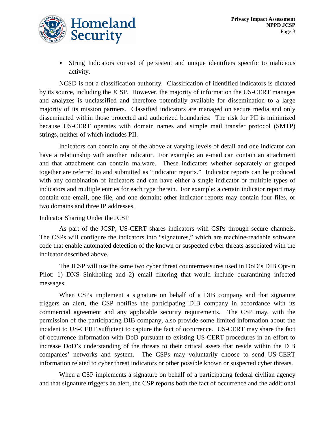

• String Indicators consist of persistent and unique identifiers specific to malicious activity.

NCSD is not a classification authority. Classification of identified indicators is dictated by its source, including the JCSP. However, the majority of information the US-CERT manages and analyzes is unclassified and therefore potentially available for dissemination to a large majority of its mission partners. Classified indicators are managed on secure media and only disseminated within those protected and authorized boundaries. The risk for PII is minimized because US-CERT operates with domain names and simple mail transfer protocol (SMTP) strings, neither of which includes PII.

Indicators can contain any of the above at varying levels of detail and one indicator can have a relationship with another indicator. For example: an e-mail can contain an attachment and that attachment can contain malware. These indicators whether separately or grouped together are referred to and submitted as "indicator reports." Indicator reports can be produced with any combination of indicators and can have either a single indicator or multiple types of indicators and multiple entries for each type therein. For example: a certain indicator report may contain one email, one file, and one domain; other indicator reports may contain four files, or two domains and three IP addresses.

#### Indicator Sharing Under the JCSP

As part of the JCSP, US-CERT shares indicators with CSPs through secure channels. The CSPs will configure the indicators into "signatures," which are machine-readable software code that enable automated detection of the known or suspected cyber threats associated with the indicator described above.

The JCSP will use the same two cyber threat countermeasures used in DoD's DIB Opt-in Pilot: 1) DNS Sinkholing and 2) email filtering that would include quarantining infected messages.

When CSPs implement a signature on behalf of a DIB company and that signature triggers an alert, the CSP notifies the participating DIB company in accordance with its commercial agreement and any applicable security requirements. The CSP may, with the permission of the participating DIB company, also provide some limited information about the incident to US-CERT sufficient to capture the fact of occurrence. US-CERT may share the fact of occurrence information with DoD pursuant to existing US-CERT procedures in an effort to increase DoD's understanding of the threats to their critical assets that reside within the DIB companies' networks and system. The CSPs may voluntarily choose to send US-CERT information related to cyber threat indicators or other possible known or suspected cyber threats.

When a CSP implements a signature on behalf of a participating federal civilian agency and that signature triggers an alert, the CSP reports both the fact of occurrence and the additional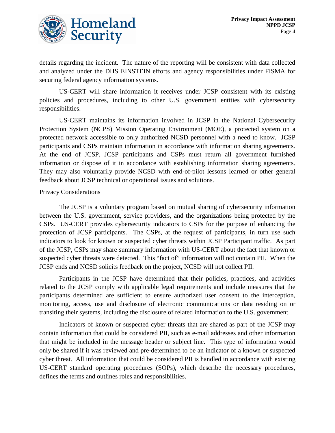

details regarding the incident. The nature of the reporting will be consistent with data collected and analyzed under the DHS EINSTEIN efforts and agency responsibilities under FISMA for securing federal agency information systems.

US-CERT will share information it receives under JCSP consistent with its existing policies and procedures, including to other U.S. government entities with cybersecurity responsibilities.

US-CERT maintains its information involved in JCSP in the National Cybersecurity Protection System (NCPS) Mission Operating Environment (MOE), a protected system on a protected network accessible to only authorized NCSD personnel with a need to know. JCSP participants and CSPs maintain information in accordance with information sharing agreements. At the end of JCSP, JCSP participants and CSPs must return all government furnished information or dispose of it in accordance with establishing information sharing agreements. They may also voluntarily provide NCSD with end-of-pilot lessons learned or other general feedback about JCSP technical or operational issues and solutions.

#### Privacy Considerations

The JCSP is a voluntary program based on mutual sharing of cybersecurity information between the U.S. government, service providers, and the organizations being protected by the CSPs. US-CERT provides cybersecurity indicators to CSPs for the purpose of enhancing the protection of JCSP participants. The CSPs, at the request of participants, in turn use such indicators to look for known or suspected cyber threats within JCSP Participant traffic. As part of the JCSP, CSPs may share summary information with US-CERT about the fact that known or suspected cyber threats were detected. This "fact of" information will not contain PII. When the JCSP ends and NCSD solicits feedback on the project, NCSD will not collect PII.

Participants in the JCSP have determined that their policies, practices, and activities related to the JCSP comply with applicable legal requirements and include measures that the participants determined are sufficient to ensure authorized user consent to the interception, monitoring, access, use and disclosure of electronic communications or data residing on or transiting their systems, including the disclosure of related information to the U.S. government.

Indicators of known or suspected cyber threats that are shared as part of the JCSP may contain information that could be considered PII, such as e-mail addresses and other information that might be included in the message header or subject line. This type of information would only be shared if it was reviewed and pre-determined to be an indicator of a known or suspected cyber threat. All information that could be considered PII is handled in accordance with existing US-CERT standard operating procedures (SOPs), which describe the necessary procedures, defines the terms and outlines roles and responsibilities.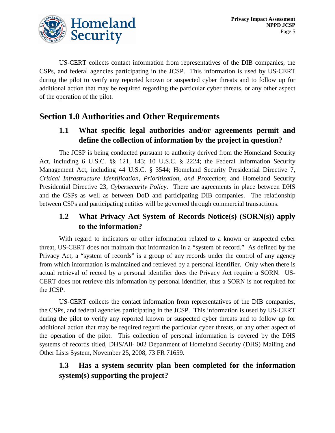

US-CERT collects contact information from representatives of the DIB companies, the CSPs, and federal agencies participating in the JCSP. This information is used by US-CERT during the pilot to verify any reported known or suspected cyber threats and to follow up for additional action that may be required regarding the particular cyber threats, or any other aspect of the operation of the pilot.

## **Section 1.0 Authorities and Other Requirements**

## **1.1 What specific legal authorities and/or agreements permit and define the collection of information by the project in question?**

The JCSP is being conducted pursuant to authority derived from the Homeland Security Act, including 6 U.S.C. §§ 121, 143; 10 U.S.C. § 2224; the Federal Information Security Management Act, including 44 U.S.C. § 3544; Homeland Security Presidential Directive 7, *Critical Infrastructure Identification, Prioritization, and Protection*; and Homeland Security Presidential Directive 23, *Cybersecurity Policy*. There are agreements in place between DHS and the CSPs as well as between DoD and participating DIB companies. The relationship between CSPs and participating entities will be governed through commercial transactions.

#### **1.2 What Privacy Act System of Records Notice(s) (SORN(s)) apply to the information?**

With regard to indicators or other information related to a known or suspected cyber threat, US-CERT does not maintain that information in a "system of record." As defined by the Privacy Act, a "system of records" is a group of any records under the control of any agency from which information is maintained and retrieved by a personal identifier. Only when there is actual retrieval of record by a personal identifier does the Privacy Act require a SORN. US-CERT does not retrieve this information by personal identifier, thus a SORN is not required for the JCSP.

US-CERT collects the contact information from representatives of the DIB companies, the CSPs, and federal agencies participating in the JCSP. This information is used by US-CERT during the pilot to verify any reported known or suspected cyber threats and to follow up for additional action that may be required regard the particular cyber threats, or any other aspect of the operation of the pilot. This collection of personal information is covered by the DHS systems of records titled, DHS/All- 002 Department of Homeland Security (DHS) Mailing and Other Lists System, November 25, 2008, 73 FR 71659.

## **1.3 Has a system security plan been completed for the information system(s) supporting the project?**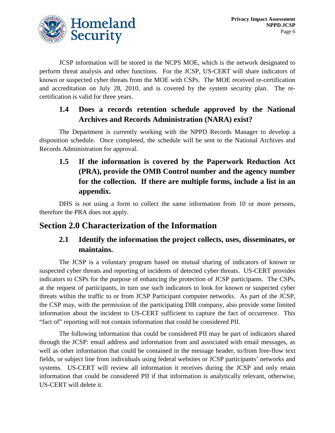

JCSP information will be stored in the NCPS MOE, which is the network designated to perform threat analysis and other functions. For the JCSP, US-CERT will share indicators of known or suspected cyber threats from the MOE with CSPs. The MOE received re-certification and accreditation on July 28, 2010, and is covered by the system security plan. The recertification is valid for three years.

### **1.4 Does a records retention schedule approved by the National Archives and Records Administration (NARA) exist?**

The Department is currently working with the NPPD Records Manager to develop a disposition schedule. Once completed, the schedule will be sent to the National Archives and Records Administration for approval.

**1.5 If the information is covered by the Paperwork Reduction Act (PRA), provide the OMB Control number and the agency number for the collection. If there are multiple forms, include a list in an appendix.** 

DHS is not using a form to collect the same information from 10 or more persons, therefore the PRA does not apply.

## **Section 2.0 Characterization of the Information**

## **2.1 Identify the information the project collects, uses, disseminates, or maintains.**

The JCSP is a voluntary program based on mutual sharing of indicators of known or suspected cyber threats and reporting of incidents of detected cyber threats. US-CERT provides indicators to CSPs for the purpose of enhancing the protection of JCSP participants. The CSPs, at the request of participants, in turn use such indicators to look for known or suspected cyber threats within the traffic to or from JCSP Participant computer networks. As part of the JCSP, the CSP may, with the permission of the participating DIB company, also provide some limited information about the incident to US-CERT sufficient to capture the fact of occurrence. This "fact of" reporting will not contain information that could be considered PII.

The following information that could be considered PII may be part of indicators shared through the JCSP: email address and information from and associated with email messages, as well as other information that could be contained in the message header, to/from free-flow text fields, or subject line from individuals using federal websites or JCSP participants' networks and systems. US-CERT will review all information it receives during the JCSP and only retain information that could be considered PII if that information is analytically relevant, otherwise, US-CERT will delete it.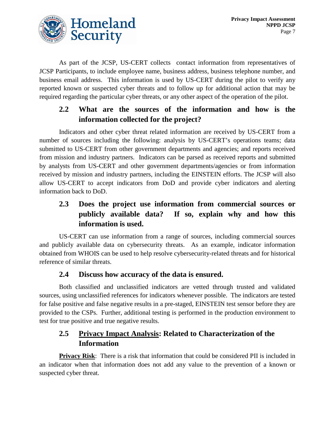

As part of the JCSP, US-CERT collects contact information from representatives of JCSP Participants, to include employee name, business address, business telephone number, and business email address. This information is used by US-CERT during the pilot to verify any reported known or suspected cyber threats and to follow up for additional action that may be required regarding the particular cyber threats, or any other aspect of the operation of the pilot.

## **2.2 What are the sources of the information and how is the information collected for the project?**

Indicators and other cyber threat related information are received by US-CERT from a number of sources including the following: analysis by US-CERT's operations teams; data submitted to US-CERT from other government departments and agencies; and reports received from mission and industry partners. Indicators can be parsed as received reports and submitted by analysts from US-CERT and other government departments/agencies or from information received by mission and industry partners, including the EINSTEIN efforts. The JCSP will also allow US-CERT to accept indicators from DoD and provide cyber indicators and alerting information back to DoD.

## **2.3 Does the project use information from commercial sources or publicly available data? If so, explain why and how this information is used.**

US-CERT can use information from a range of sources, including commercial sources and publicly available data on cybersecurity threats. As an example, indicator information obtained from WHOIS can be used to help resolve cybersecurity-related threats and for historical reference of similar threats.

#### **2.4 Discuss how accuracy of the data is ensured.**

Both classified and unclassified indicators are vetted through trusted and validated sources, using unclassified references for indicators whenever possible. The indicators are tested for false positive and false negative results in a pre-staged, EINSTEIN test sensor before they are provided to the CSPs. Further, additional testing is performed in the production environment to test for true positive and true negative results.

#### **2.5 Privacy Impact Analysis: Related to Characterization of the Information**

**Privacy Risk**: There is a risk that information that could be considered PII is included in an indicator when that information does not add any value to the prevention of a known or suspected cyber threat.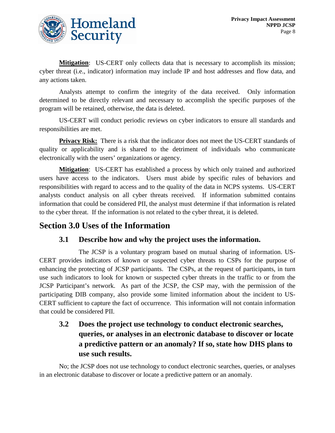**Mitigation:** US-CERT only collects data that is necessary to accomplish its mission; cyber threat (i.e., indicator) information may include IP and host addresses and flow data, and any actions taken.

Analysts attempt to confirm the integrity of the data received. Only information determined to be directly relevant and necessary to accomplish the specific purposes of the program will be retained, otherwise, the data is deleted.

US-CERT will conduct periodic reviews on cyber indicators to ensure all standards and responsibilities are met.

**Privacy Risk:** There is a risk that the indicator does not meet the US-CERT standards of quality or applicability and is shared to the detriment of individuals who communicate electronically with the users' organizations or agency.

**Mitigation** : US-CERT has established a process by which only trained and authorized users have access to the indicators. Users must abide by specific rules of behaviors and responsibilities with regard to access and to the quality of the data in NCPS systems. US-CERT analysts conduct analysis on all cyber threats received. If information submitted contains information that could be considered PII, the analyst must determine if that information is related to the cyber threat. If the information is not related to the cyber threat, it is deleted.

## **Section 3.0 Uses of the Information**

#### **3.1 Describe how and why the project uses the information.**

The JCSP is a voluntary program based on mutual sharing of information. US-CERT provides indicators of known or suspected cyber threats to CSPs for the purpose of enhancing the protecting of JCSP participants. The CSPs, at the request of participants, in turn use such indicators to look for known or suspected cyber threats in the traffic to or from the JCSP Participant's network. As part of the JCSP, the CSP may, with the permission of the participating DIB company, also provide some limited information about the incident to US-CERT sufficient to capture the fact of occurrence. This information will not contain information that could be considered PII.

## **3.2 Does the project use technology to conduct electronic searches, queries, or analyses in an electronic database to discover or locate a predictive pattern or an anomaly? If so, state how DHS plans to use such results.**

No; the JCSP does not use technology to conduct electronic searches, queries, or analyses in an electronic database to discover or locate a predictive pattern or an anomaly.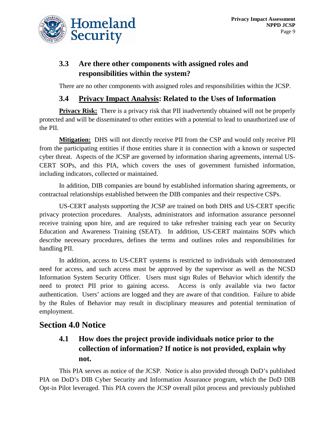

## **3.3 Are there other components with assigned roles and responsibilities within the system?**

There are no other components with assigned roles and responsibilities within the JCSP.

#### **3.4 Privacy Impact Analysis: Related to the Uses of Information**

**Privacy Risk:** There is a privacy risk that PII inadvertently obtained will not be properly protected and will be disseminated to other entities with a potential to lead to unauthorized use of the PII.

**Mitigation:** DHS will not directly receive PII from the CSP and would only receive PII from the participating entities if those entities share it in connection with a known or suspected cyber threat. Aspects of the JCSP are governed by information sharing agreements, internal US-CERT SOPs, and this PIA, which covers the uses of government furnished information, including indicators, collected or maintained.

In addition, DIB companies are bound by established information sharing agreements, or contractual relationships established between the DIB companies and their respective CSPs.

US-CERT analysts supporting the JCSP are trained on both DHS and US-CERT specific privacy protection procedures. Analysts, administrators and information assurance personnel receive training upon hire, and are required to take refresher training each year on Security Education and Awareness Training (SEAT). In addition, US-CERT maintains SOPs which describe necessary procedures, defines the terms and outlines roles and responsibilities for handling PII.

In addition, access to US-CERT systems is restricted to individuals with demonstrated need for access, and such access must be approved by the supervisor as well as the NCSD Information System Security Officer. Users must sign Rules of Behavior which identify the need to protect PII prior to gaining access. Access is only available via two factor authentication. Users' actions are logged and they are aware of that condition. Failure to abide by the Rules of Behavior may result in disciplinary measures and potential termination of employment.

## **Section 4.0 Notice**

## **4.1 How does the project provide individuals notice prior to the collection of information? If notice is not provided, explain why not.**

This PIA serves as notice of the JCSP. Notice is also provided through DoD's published PIA on DoD's DIB Cyber Security and Information Assurance program, which the DoD DIB Opt-in Pilot leveraged. This PIA covers the JCSP overall pilot process and previously published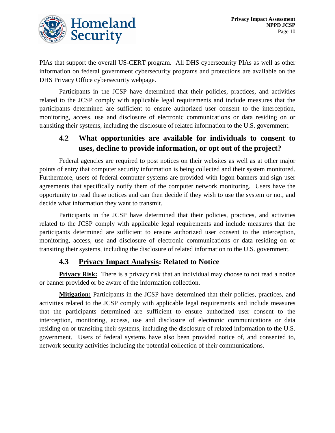

PIAs that support the overall US-CERT program. All DHS cybersecurity PIAs as well as other information on federal government cybersecurity programs and protections are available on the DHS Privacy Office cybersecurity webpage.

Participants in the JCSP have determined that their policies, practices, and activities related to the JCSP comply with applicable legal requirements and include measures that the participants determined are sufficient to ensure authorized user consent to the interception, monitoring, access, use and disclosure of electronic communications or data residing on or transiting their systems, including the disclosure of related information to the U.S. government.

#### **4.2 What opportunities are available for individuals to consent to uses, decline to provide information, or opt out of the project?**

Federal agencies are required to post notices on their websites as well as at other major points of entry that computer security information is being collected and their system monitored. Furthermore, users of federal computer systems are provided with logon banners and sign user agreements that specifically notify them of the computer network monitoring. Users have the opportunity to read these notices and can then decide if they wish to use the system or not, and decide what information they want to transmit.

Participants in the JCSP have determined that their policies, practices, and activities related to the JCSP comply with applicable legal requirements and include measures that the participants determined are sufficient to ensure authorized user consent to the interception, monitoring, access, use and disclosure of electronic communications or data residing on or transiting their systems, including the disclosure of related information to the U.S. government.

#### **4.3 Privacy Impact Analysis: Related to Notice**

**Privacy Risk:** There is a privacy risk that an individual may choose to not read a notice or banner provided or be aware of the information collection.

**Mitigation:** Participants in the JCSP have determined that their policies, practices, and activities related to the JCSP comply with applicable legal requirements and include measures that the participants determined are sufficient to ensure authorized user consent to the interception, monitoring, access, use and disclosure of electronic communications or data residing on or transiting their systems, including the disclosure of related information to the U.S. government. Users of federal systems have also been provided notice of, and consented to, network security activities including the potential collection of their communications.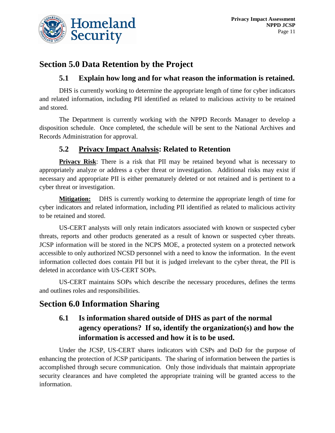

## **Section 5.0 Data Retention by the Project**

#### **5.1 Explain how long and for what reason the information is retained.**

DHS is currently working to determine the appropriate length of time for cyber indicators and related information, including PII identified as related to malicious activity to be retained and stored.

The Department is currently working with the NPPD Records Manager to develop a disposition schedule. Once completed, the schedule will be sent to the National Archives and Records Administration for approval.

#### **5.2 Privacy Impact Analysis: Related to Retention**

**Privacy Risk**: There is a risk that PII may be retained beyond what is necessary to appropriately analyze or address a cyber threat or investigation. Additional risks may exist if necessary and appropriate PII is either prematurely deleted or not retained and is pertinent to a cyber threat or investigation.

**Mitigation:** DHS is currently working to determine the appropriate length of time for cyber indicators and related information, including PII identified as related to malicious activity to be retained and stored.

US-CERT analysts will only retain indicators associated with known or suspected cyber threats, reports and other products generated as a result of known or suspected cyber threats. JCSP information will be stored in the NCPS MOE, a protected system on a protected network accessible to only authorized NCSD personnel with a need to know the information. In the event information collected does contain PII but it is judged irrelevant to the cyber threat, the PII is deleted in accordance with US-CERT SOPs.

US-CERT maintains SOPs which describe the necessary procedures, defines the terms and outlines roles and responsibilities.

## **Section 6.0 Information Sharing**

## **6.1 Is information shared outside of DHS as part of the normal agency operations? If so, identify the organization(s) and how the information is accessed and how it is to be used.**

Under the JCSP, US-CERT shares indicators with CSPs and DoD for the purpose of enhancing the protection of JCSP participants. The sharing of information between the parties is accomplished through secure communication. Only those individuals that maintain appropriate security clearances and have completed the appropriate training will be granted access to the information.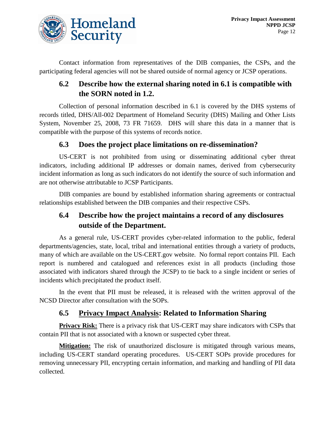

Contact information from representatives of the DIB companies, the CSPs, and the participating federal agencies will not be shared outside of normal agency or JCSP operations.

#### **6.2 Describe how the external sharing noted in 6.1 is compatible with the SORN noted in 1.2.**

Collection of personal information described in 6.1 is covered by the DHS systems of records titled, DHS/All-002 Department of Homeland Security (DHS) Mailing and Other Lists System, November 25, 2008, 73 FR 71659. DHS will share this data in a manner that is compatible with the purpose of this systems of records notice.

#### **6.3 Does the project place limitations on re-dissemination?**

US-CERT is not prohibited from using or disseminating additional cyber threat indicators, including additional IP addresses or domain names, derived from cybersecurity incident information as long as such indicators do not identify the source of such information and are not otherwise attributable to JCSP Participants.

DIB companies are bound by established information sharing agreements or contractual relationships established between the DIB companies and their respective CSPs.

## **6.4 Describe how the project maintains a record of any disclosures outside of the Department.**

As a general rule, US-CERT provides cyber-related information to the public, federal departments/agencies, state, local, tribal and international entities through a variety of products, many of which are available on the US-CERT.gov website. No formal report contains PII. Each report is numbered and catalogued and references exist in all products (including those associated with indicators shared through the JCSP) to tie back to a single incident or series of incidents which precipitated the product itself.

In the event that PII must be released, it is released with the written approval of the NCSD Director after consultation with the SOPs.

#### **6.5 Privacy Impact Analysis: Related to Information Sharing**

**Privacy Risk:** There is a privacy risk that US-CERT may share indicators with CSPs that contain PII that is not associated with a known or suspected cyber threat.

**Mitigation:** The risk of unauthorized disclosure is mitigated through various means, including US-CERT standard operating procedures. US-CERT SOPs provide procedures for removing unnecessary PII, encrypting certain information, and marking and handling of PII data collected.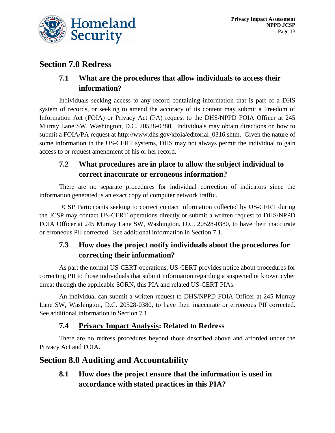

## **Section 7.0 Redress**

## **7.1 What are the procedures that allow individuals to access their information?**

Individuals seeking access to any record containing information that is part of a DHS system of records, or seeking to amend the accuracy of its content may submit a Freedom of Information Act (FOIA) or Privacy Act (PA) request to the DHS/NPPD FOIA Officer at 245 Murray Lane SW, Washington, D.C. 20528-0380. Individuals may obtain directions on how to submit a FOIA/PA request at http://www.dhs.gov/xfoia/editorial\_0316.shtm. Given the nature of some information in the US-CERT systems, DHS may not always permit the individual to gain access to or request amendment of his or her record.

## **7.2 What procedures are in place to allow the subject individual to correct inaccurate or erroneous information?**

There are no separate procedures for individual correction of indicators since the information generated is an exact copy of computer network traffic.

JCSP Participants seeking to correct contact information collected by US-CERT during the JCSP may contact US-CERT operations directly or submit a written request to DHS/NPPD FOIA Officer at 245 Murray Lane SW, Washington, D.C. 20528-0380, to have their inaccurate or erroneous PII corrected. See additional information in Section 7.1.

## **7.3 How does the project notify individuals about the procedures for correcting their information?**

As part the normal US-CERT operations, US-CERT provides notice about procedures for correcting PII to those individuals that submit information regarding a suspected or known cyber threat through the applicable SORN, this PIA and related US-CERT PIAs.

An individual can submit a written request to DHS/NPPD FOIA Officer at 245 Murray Lane SW, Washington, D.C. 20528-0380, to have their inaccurate or erroneous PII corrected. See additional information in Section 7.1.

#### **7.4 Privacy Impact Analysis: Related to Redress**

There are no redress procedures beyond those described above and afforded under the Privacy Act and FOIA.

## **Section 8.0 Auditing and Accountability**

**8.1 How does the project ensure that the information is used in accordance with stated practices in this PIA?**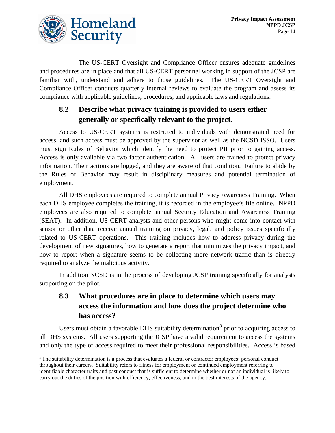

The US-CERT Oversight and Compliance Officer ensures adequate guidelines and procedures are in place and that all US-CERT personnel working in support of the JCSP are familiar with, understand and adhere to those guidelines. The US-CERT Oversight and Compliance Officer conducts quarterly internal reviews to evaluate the program and assess its compliance with applicable guidelines, procedures, and applicable laws and regulations.

## **8.2 Describe what privacy training is provided to users either generally or specifically relevant to the project.**

Access to US-CERT systems is restricted to individuals with demonstrated need for access, and such access must be approved by the supervisor as well as the NCSD ISSO. Users must sign Rules of Behavior which identify the need to protect PII prior to gaining access. Access is only available via two factor authentication. All users are trained to protect privacy information. Their actions are logged, and they are aware of that condition. Failure to abide by the Rules of Behavior may result in disciplinary measures and potential termination of employment.

All DHS employees are required to complete annual Privacy Awareness Training. When each DHS employee completes the training, it is recorded in the employee's file online. NPPD employees are also required to complete annual Security Education and Awareness Training (SEAT). In addition, US‐CERT analysts and other persons who might come into contact with sensor or other data receive annual training on privacy, legal, and policy issues specifically related to US-CERT operations. This training includes how to address privacy during the development of new signatures, how to generate a report that minimizes the privacy impact, and how to report when a signature seems to be collecting more network traffic than is directly required to analyze the malicious activity.

In addition NCSD is in the process of developing JCSP training specifically for analysts supporting on the pilot.

## **8.3 What procedures are in place to determine which users may access the information and how does the project determine who has access?**

Users must obtain a favorable DHS suitability determination<sup>[8](#page-14-0)</sup> prior to acquiring access to all DHS systems. All users supporting the JCSP have a valid requirement to access the systems and only the type of access required to meet their professional responsibilities. Access is based

<span id="page-14-0"></span><sup>&</sup>lt;sup>8</sup> The suitability determination is a process that evaluates a federal or contractor employees' personal conduct throughout their careers. Suitability refers to fitness for employment or continued employment referring to identifiable character traits and past conduct that is sufficient to determine whether or not an individual is likely to carry out the duties of the position with efficiency, effectiveness, and in the best interests of the agency.